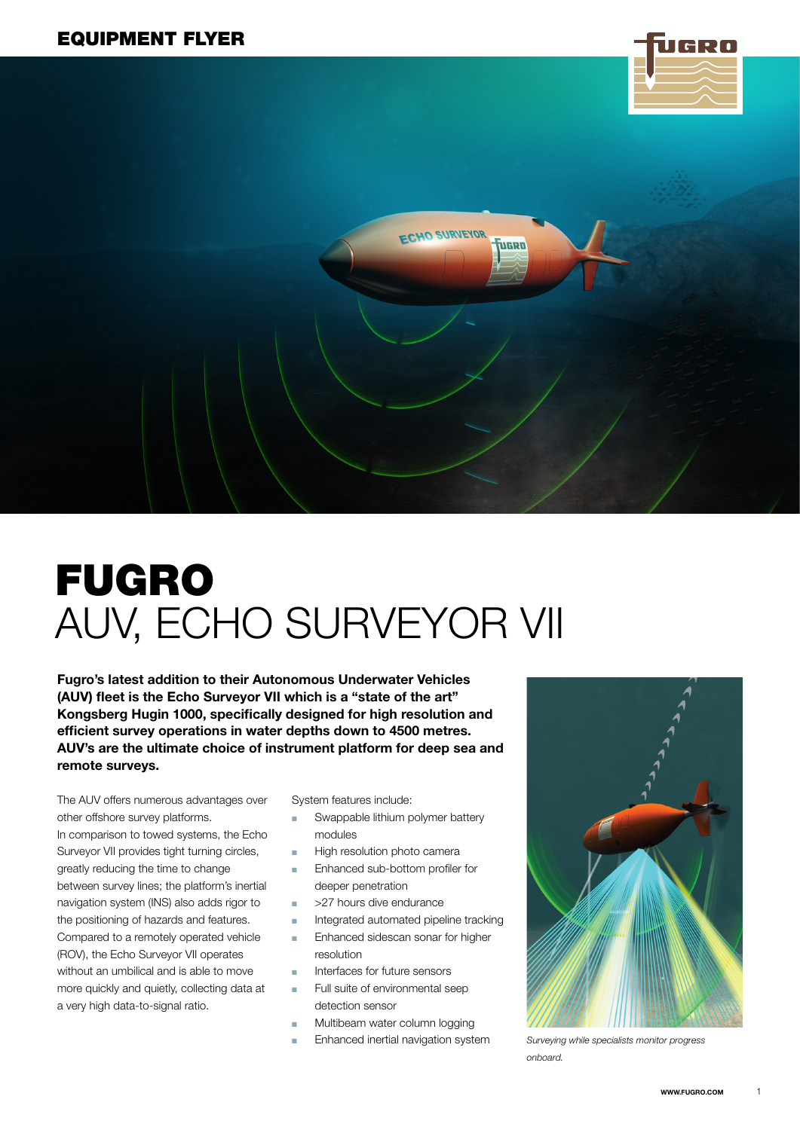

# FUGRO AUV, ECHO SURVEYOR VII

Fugro's latest addition to their Autonomous Underwater Vehicles (AUV) fleet is the Echo Surveyor VII which is a "state of the art" Kongsberg Hugin 1000, specifically designed for high resolution and efficient survey operations in water depths down to 4500 metres. AUV's are the ultimate choice of instrument platform for deep sea and remote surveys.

The AUV offers numerous advantages over other offshore survey platforms.

In comparison to towed systems, the Echo Surveyor VII provides tight turning circles, greatly reducing the time to change between survey lines; the platform's inertial navigation system (INS) also adds rigor to the positioning of hazards and features. Compared to a remotely operated vehicle (ROV), the Echo Surveyor VII operates without an umbilical and is able to move more quickly and quietly, collecting data at a very high data-to-signal ratio.

System features include:

Swappable lithium polymer battery modules

**FCHO SURVEYOR** 

**UGRO** 

- High resolution photo camera
- Enhanced sub-bottom profiler for deeper penetration
- >27 hours dive endurance
- Integrated automated pipeline tracking
- Enhanced sidescan sonar for higher resolution
- Interfaces for future sensors
- Full suite of environmental seep detection sensor
- Multibeam water column logging
- Enhanced inertial navigation system



*Surveying while specialists monitor progress onboard.*